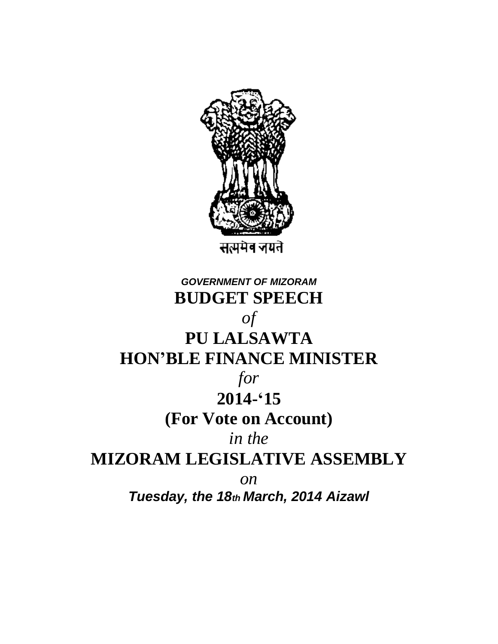

## *GOVERNMENT OF MIZORAM* **BUDGET SPEECH** *of* **PU LALSAWTA HON'BLE FINANCE MINISTER** *for* **2014-'15 (For Vote on Account)** *in the* **MIZORAM LEGISLATIVE ASSEMBLY** *on Tuesday, the 18th March, 2014 Aizawl*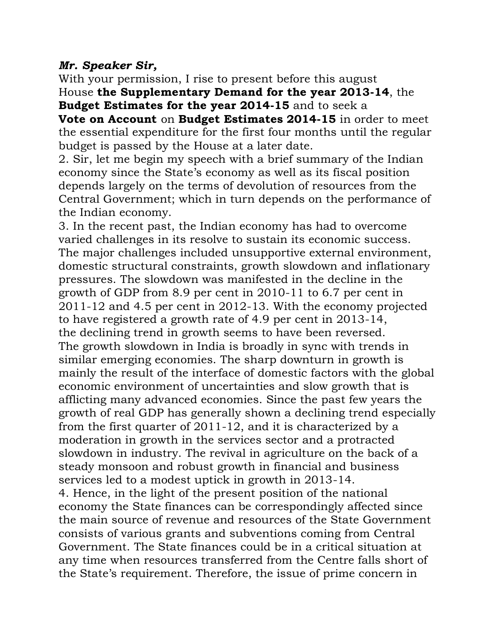## *Mr. Speaker Sir,*

With your permission, I rise to present before this august House **the Supplementary Demand for the year 2013-14**, the

**Budget Estimates for the year 2014-15** and to seek a **Vote on Account** on **Budget Estimates 2014-15** in order to meet the essential expenditure for the first four months until the regular budget is passed by the House at a later date.

2. Sir, let me begin my speech with a brief summary of the Indian economy since the State's economy as well as its fiscal position depends largely on the terms of devolution of resources from the Central Government; which in turn depends on the performance of the Indian economy.

3. In the recent past, the Indian economy has had to overcome varied challenges in its resolve to sustain its economic success. The major challenges included unsupportive external environment, domestic structural constraints, growth slowdown and inflationary pressures. The slowdown was manifested in the decline in the growth of GDP from 8.9 per cent in 2010-11 to 6.7 per cent in 2011-12 and 4.5 per cent in 2012-13. With the economy projected to have registered a growth rate of 4.9 per cent in 2013-14, the declining trend in growth seems to have been reversed. The growth slowdown in India is broadly in sync with trends in similar emerging economies. The sharp downturn in growth is mainly the result of the interface of domestic factors with the global economic environment of uncertainties and slow growth that is afflicting many advanced economies. Since the past few years the growth of real GDP has generally shown a declining trend especially from the first quarter of 2011-12, and it is characterized by a moderation in growth in the services sector and a protracted slowdown in industry. The revival in agriculture on the back of a steady monsoon and robust growth in financial and business services led to a modest uptick in growth in 2013-14. 4. Hence, in the light of the present position of the national economy the State finances can be correspondingly affected since the main source of revenue and resources of the State Government consists of various grants and subventions coming from Central Government. The State finances could be in a critical situation at any time when resources transferred from the Centre falls short of the State's requirement. Therefore, the issue of prime concern in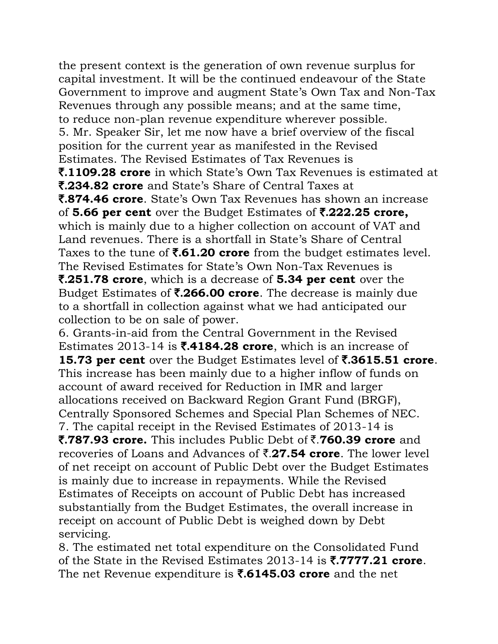the present context is the generation of own revenue surplus for capital investment. It will be the continued endeavour of the State Government to improve and augment State's Own Tax and Non-Tax Revenues through any possible means; and at the same time, to reduce non-plan revenue expenditure wherever possible. 5. Mr. Speaker Sir, let me now have a brief overview of the fiscal position for the current year as manifested in the Revised Estimates. The Revised Estimates of Tax Revenues is ₹**.1109.28 crore** in which State's Own Tax Revenues is estimated at ₹**.234.82 crore** and State's Share of Central Taxes at ₹**.874.46 crore**. State's Own Tax Revenues has shown an increase of **5.66 per cent** over the Budget Estimates of ₹**.222.25 crore,** which is mainly due to a higher collection on account of VAT and Land revenues. There is a shortfall in State's Share of Central Taxes to the tune of ₹**.61.20 crore** from the budget estimates level. The Revised Estimates for State's Own Non-Tax Revenues is ₹**.251.78 crore**, which is a decrease of **5.34 per cent** over the Budget Estimates of ₹**.266.00 crore**. The decrease is mainly due to a shortfall in collection against what we had anticipated our collection to be on sale of power.

6. Grants-in-aid from the Central Government in the Revised Estimates 2013-14 is ₹**.4184.28 crore**, which is an increase of **15.73 per cent** over the Budget Estimates level of ₹**.3615.51 crore**. This increase has been mainly due to a higher inflow of funds on account of award received for Reduction in IMR and larger allocations received on Backward Region Grant Fund (BRGF), Centrally Sponsored Schemes and Special Plan Schemes of NEC. 7. The capital receipt in the Revised Estimates of 2013-14 is ₹**.787.93 crore.** This includes Public Debt of ₹.**760.39 crore** and recoveries of Loans and Advances of ₹.**27.54 crore**. The lower level of net receipt on account of Public Debt over the Budget Estimates is mainly due to increase in repayments. While the Revised Estimates of Receipts on account of Public Debt has increased substantially from the Budget Estimates, the overall increase in receipt on account of Public Debt is weighed down by Debt servicing.

8. The estimated net total expenditure on the Consolidated Fund of the State in the Revised Estimates 2013-14 is ₹**.7777.21 crore**. The net Revenue expenditure is ₹**.6145.03 crore** and the net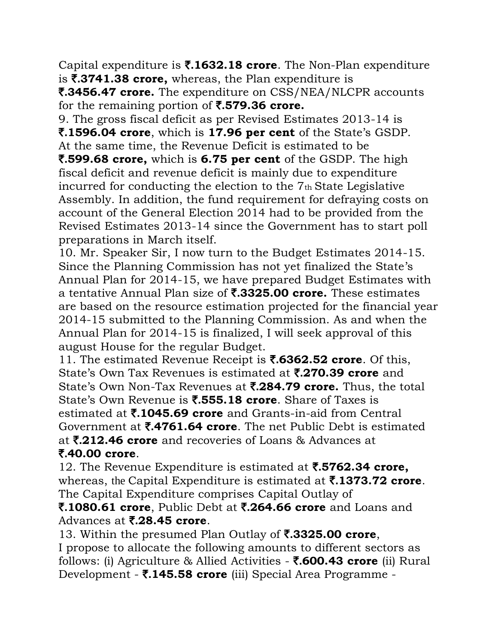Capital expenditure is ₹**.1632.18 crore**. The Non-Plan expenditure is ₹**.3741.38 crore,** whereas, the Plan expenditure is

₹**.3456.47 crore.** The expenditure on CSS/NEA/NLCPR accounts for the remaining portion of ₹**.579.36 crore.**

9. The gross fiscal deficit as per Revised Estimates 2013-14 is ₹**.1596.04 crore**, which is **17.96 per cent** of the State's GSDP. At the same time, the Revenue Deficit is estimated to be ₹**.599.68 crore,** which is **6.75 per cent** of the GSDP. The high fiscal deficit and revenue deficit is mainly due to expenditure incurred for conducting the election to the 7th State Legislative Assembly. In addition, the fund requirement for defraying costs on

account of the General Election 2014 had to be provided from the Revised Estimates 2013-14 since the Government has to start poll preparations in March itself.

10. Mr. Speaker Sir, I now turn to the Budget Estimates 2014-15. Since the Planning Commission has not yet finalized the State's Annual Plan for 2014-15, we have prepared Budget Estimates with a tentative Annual Plan size of ₹**.3325.00 crore.** These estimates are based on the resource estimation projected for the financial year 2014-15 submitted to the Planning Commission. As and when the Annual Plan for 2014-15 is finalized, I will seek approval of this august House for the regular Budget.

11. The estimated Revenue Receipt is ₹**.6362.52 crore**. Of this, State's Own Tax Revenues is estimated at ₹**.270.39 crore** and State's Own Non-Tax Revenues at ₹**.284.79 crore.** Thus, the total State's Own Revenue is ₹**.555.18 crore**. Share of Taxes is estimated at ₹**.1045.69 crore** and Grants-in-aid from Central Government at ₹**.4761.64 crore**. The net Public Debt is estimated at ₹**.212.46 crore** and recoveries of Loans & Advances at ₹**.40.00 crore**.

12. The Revenue Expenditure is estimated at ₹**.5762.34 crore,** whereas, the Capital Expenditure is estimated at ₹**.1373.72 crore**. The Capital Expenditure comprises Capital Outlay of

## ₹**.1080.61 crore**, Public Debt at ₹**.264.66 crore** and Loans and Advances at ₹**.28.45 crore**.

13. Within the presumed Plan Outlay of ₹**.3325.00 crore**,

I propose to allocate the following amounts to different sectors as follows: (i) Agriculture & Allied Activities - ₹**.600.43 crore** (ii) Rural Development - ₹**.145.58 crore** (iii) Special Area Programme -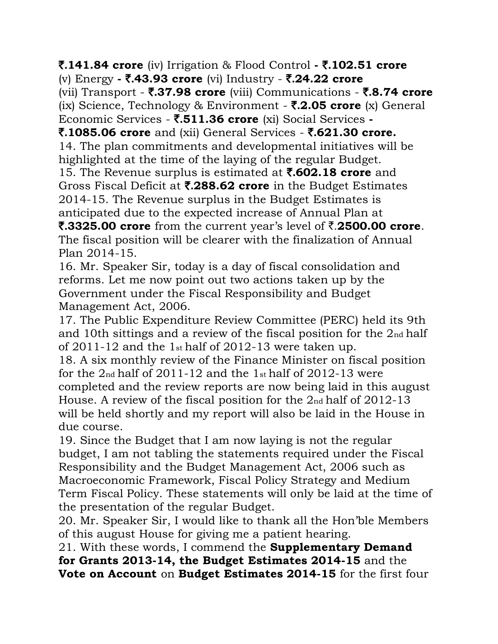₹**.141.84 crore** (iv) Irrigation & Flood Control **-** ₹**.102.51 crore** (v) Energy **-** ₹**.43.93 crore** (vi) Industry - ₹**.24.22 crore**

(vii) Transport - ₹**.37.98 crore** (viii) Communications - ₹**.8.74 crore** (ix) Science, Technology & Environment - ₹**.2.05 crore** (x) General Economic Services - ₹**.511.36 crore** (xi) Social Services **-**

₹**.1085.06 crore** and (xii) General Services - ₹**.621.30 crore.** 14. The plan commitments and developmental initiatives will be highlighted at the time of the laying of the regular Budget.

15. The Revenue surplus is estimated at ₹**.602.18 crore** and Gross Fiscal Deficit at ₹**.288.62 crore** in the Budget Estimates 2014-15. The Revenue surplus in the Budget Estimates is anticipated due to the expected increase of Annual Plan at

₹**.3325.00 crore** from the current year's level of ₹.**2500.00 crore**. The fiscal position will be clearer with the finalization of Annual Plan 2014-15.

16. Mr. Speaker Sir, today is a day of fiscal consolidation and reforms. Let me now point out two actions taken up by the Government under the Fiscal Responsibility and Budget Management Act, 2006.

17. The Public Expenditure Review Committee (PERC) held its 9th and 10th sittings and a review of the fiscal position for the 2nd half of 2011-12 and the 1st half of 2012-13 were taken up.

18. A six monthly review of the Finance Minister on fiscal position for the  $2<sub>nd</sub>$  half of 2011-12 and the 1 $<sub>st</sub>$  half of 2012-13 were</sub> completed and the review reports are now being laid in this august House. A review of the fiscal position for the 2nd half of 2012-13 will be held shortly and my report will also be laid in the House in due course.

19. Since the Budget that I am now laying is not the regular budget, I am not tabling the statements required under the Fiscal Responsibility and the Budget Management Act, 2006 such as Macroeconomic Framework, Fiscal Policy Strategy and Medium Term Fiscal Policy. These statements will only be laid at the time of the presentation of the regular Budget.

20. Mr. Speaker Sir, I would like to thank all the Hon'ble Members of this august House for giving me a patient hearing.

21. With these words, I commend the **Supplementary Demand for Grants 2013-14, the Budget Estimates 2014-15** and the **Vote on Account** on **Budget Estimates 2014-15** for the first four